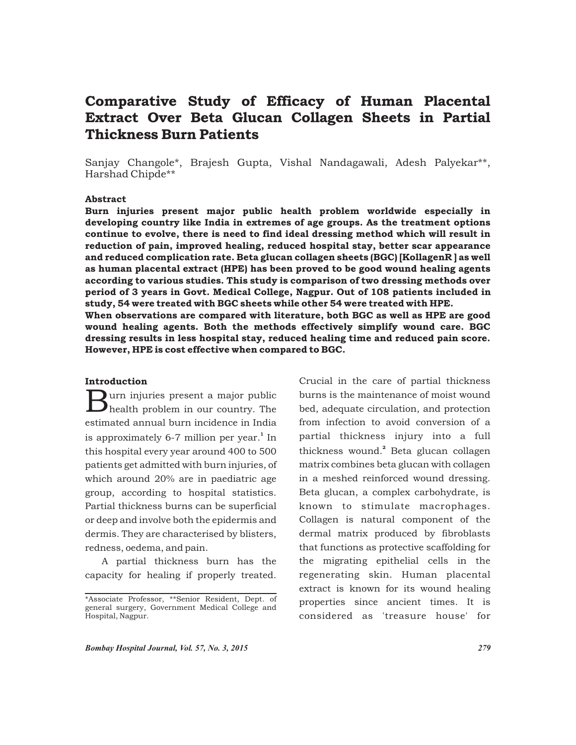# Comparative Study of Efficacy of Human Placental Extract Over Beta Glucan Collagen Sheets in Partial Thickness Burn Patients

Sanjay Changole\*, Brajesh Gupta, Vishal Nandagawali, Adesh Palyekar\*\*, Harshad Chipde\*\*

### Abstract

Burn injuries present major public health problem worldwide especially in developing country like India in extremes of age groups. As the treatment options continue to evolve, there is need to find ideal dressing method which will result in reduction of pain, improved healing, reduced hospital stay, better scar appearance and reduced complication rate. Beta glucan collagen sheets (BGC) [KollagenR ] as well as human placental extract (HPE) has been proved to be good wound healing agents according to various studies. This study is comparison of two dressing methods over period of 3 years in Govt. Medical College, Nagpur. Out of 108 patients included in study, 54 were treated with BGC sheets while other 54 were treated with HPE. When observations are compared with literature, both BGC as well as HPE are good wound healing agents. Both the methods effectively simplify wound care. BGC

dressing results in less hospital stay, reduced healing time and reduced pain score. However, HPE is cost effective when compared to BGC.

# Introduction

 $\sum$ urn injuries present a major public health problem in our country. The estimated annual burn incidence in India is approximately 6-7 million per year.<sup>1</sup> In this hospital every year around 400 to 500 patients get admitted with burn injuries, of which around 20% are in paediatric age group, according to hospital statistics. Partial thickness burns can be superficial or deep and involve both the epidermis and dermis. They are characterised by blisters, redness, oedema, and pain.

A partial thickness burn has the capacity for healing if properly treated.

Crucial in the care of partial thickness burns is the maintenance of moist wound bed, adequate circulation, and protection from infection to avoid conversion of a partial thickness injury into a full thickness wound.<sup>2</sup> Beta glucan collagen matrix combines beta glucan with collagen in a meshed reinforced wound dressing. Beta glucan, a complex carbohydrate, is known to stimulate macrophages. Collagen is natural component of the dermal matrix produced by fibroblasts that functions as protective scaffolding for the migrating epithelial cells in the regenerating skin. Human placental extract is known for its wound healing properties since ancient times. It is considered as 'treasure house' for

<sup>\*</sup>Associate Professor, \*\*Senior Resident, Dept. of general surgery, Government Medical College and Hospital, Nagpur.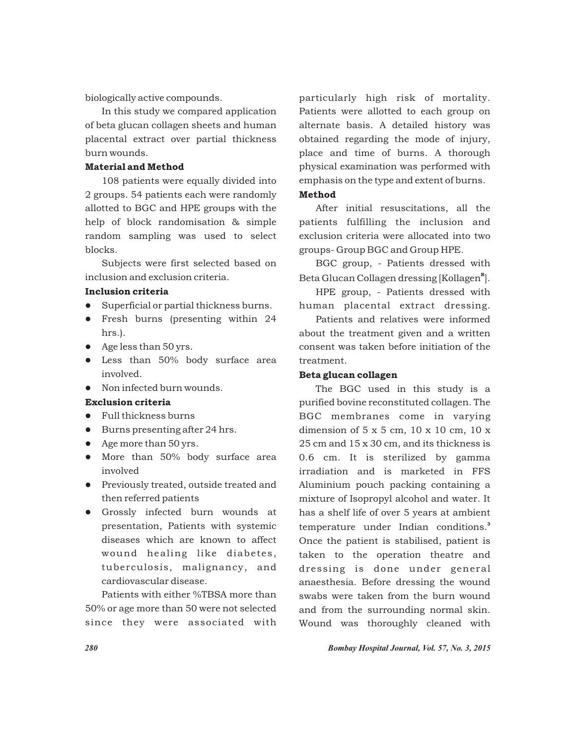biologically active compounds.

In this study we compared application of beta glucan collagen sheets and human placental extract over partial thickness burn wounds.

# Material and Method

108 patients were equally divided into 2 groups. 54 patients each were randomly allotted to BGC and HPE groups with the help of block randomisation & simple random sampling was used to select blocks.

Subjects were first selected based on inclusion and exclusion criteria.

# Inclusion criteria

- Superficial or partial thickness burns.
- Fresh burns (presenting within 24 hrs.).
- Age less than 50 yrs.
- Less than 50% body surface area involved.
- Non infected burn wounds.

# Exclusion criteria

- Full thickness burns
- Burns presenting after 24 hrs.
- Age more than 50 yrs.
- More than 50% body surface area involved
- **•** Previously treated, outside treated and then referred patients
- l Grossly infected burn wounds at presentation, Patients with systemic diseases which are known to affect wound healing like diabetes, tuberculosis, malignancy, and cardiovascular disease.

Patients with either %TBSA more than 50% or age more than 50 were not selected since they were associated with particularly high risk of mortality. Patients were allotted to each group on alternate basis. A detailed history was obtained regarding the mode of injury, place and time of burns. A thorough physical examination was performed with emphasis on the type and extent of burns. Method

After initial resuscitations, all the patients fulfilling the inclusion and exclusion criteria were allocated into two groups- Group BGC and Group HPE.

BGC group, - Patients dressed with Beta Glucan Collagen dressing [Kollagen<sup>"8</sup>].

HPE group, - Patients dressed with human placental extract dressing.

Patients and relatives were informed about the treatment given and a written consent was taken before initiation of the treatment.

#### Beta glucan collagen

The BGC used in this study is a purified bovine reconstituted collagen. The BGC membranes come in varying dimension of 5 x 5 cm, 10 x 10 cm, 10 x 25 cm and 15 x 30 cm, and its thickness is 0.6 cm. It is sterilized by gamma irradiation and is marketed in FFS Aluminium pouch packing containing a mixture of Isopropyl alcohol and water. It has a shelf life of over 5 years at ambient temperature under Indian conditions.<sup>3</sup> Once the patient is stabilised, patient is taken to the operation theatre and dressing is done under general anaesthesia. Before dressing the wound swabs were taken from the burn wound and from the surrounding normal skin. Wound was thoroughly cleaned with

*280 Bombay Hospital Journal, Vol. 57, No. 3, 2015*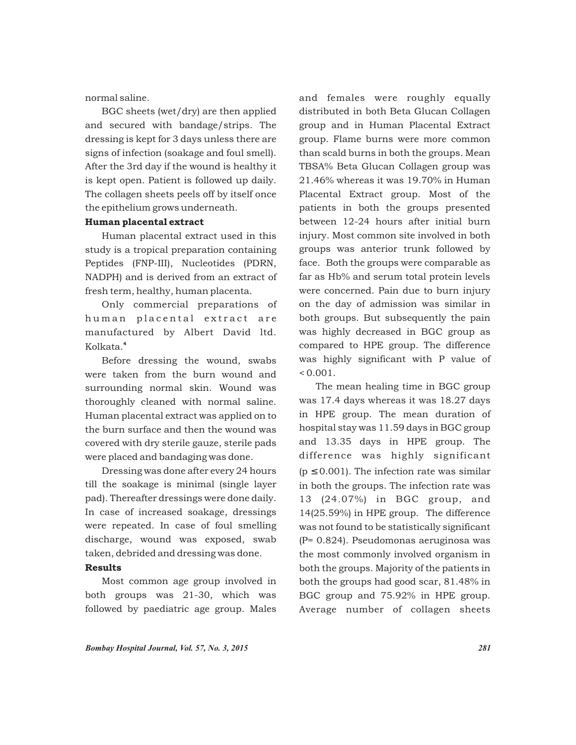normal saline.

BGC sheets (wet/dry) are then applied and secured with bandage/strips. The dressing is kept for 3 days unless there are signs of infection (soakage and foul smell). After the 3rd day if the wound is healthy it is kept open. Patient is followed up daily. The collagen sheets peels off by itself once the epithelium grows underneath.

# Human placental extract

Human placental extract used in this study is a tropical preparation containing Peptides (FNP-III), Nucleotides (PDRN, NADPH) and is derived from an extract of fresh term, healthy, human placenta.

Only commercial preparations of human placental extract are manufactured by Albert David ltd. <sup>4</sup> Kolkata.

Before dressing the wound, swabs were taken from the burn wound and surrounding normal skin. Wound was thoroughly cleaned with normal saline. Human placental extract was applied on to the burn surface and then the wound was covered with dry sterile gauze, sterile pads were placed and bandaging was done.

Dressing was done after every 24 hours till the soakage is minimal (single layer pad). Thereafter dressings were done daily. In case of increased soakage, dressings were repeated. In case of foul smelling discharge, wound was exposed, swab taken, debrided and dressing was done.

# Results

Most common age group involved in both groups was 21-30, which was followed by paediatric age group. Males

and females were roughly equally distributed in both Beta Glucan Collagen group and in Human Placental Extract group. Flame burns were more common than scald burns in both the groups. Mean TBSA% Beta Glucan Collagen group was 21.46% whereas it was 19.70% in Human Placental Extract group. Most of the patients in both the groups presented between 12-24 hours after initial burn injury. Most common site involved in both groups was anterior trunk followed by face. Both the groups were comparable as far as Hb% and serum total protein levels were concerned. Pain due to burn injury on the day of admission was similar in both groups. But subsequently the pain was highly decreased in BGC group as compared to HPE group. The difference was highly significant with P value of  $< 0.001$ .

The mean healing time in BGC group was 17.4 days whereas it was 18.27 days in HPE group. The mean duration of hospital stay was 11.59 days in BGC group and 13.35 days in HPE group. The difference was highly significant (p 0.001). The infection rate was similar in both the groups. The infection rate was 13 (24.07%) in BGC group, and 14(25.59%) in HPE group. The difference was not found to be statistically significant (P= 0.824). Pseudomonas aeruginosa was the most commonly involved organism in both the groups. Majority of the patients in both the groups had good scar, 81.48% in BGC group and 75.92% in HPE group. Average number of collagen sheets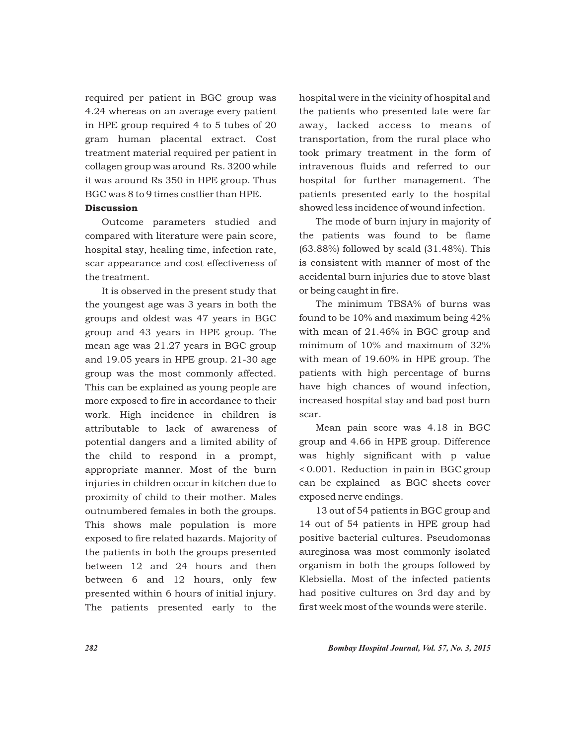required per patient in BGC group was 4.24 whereas on an average every patient in HPE group required 4 to 5 tubes of 20 gram human placental extract. Cost treatment material required per patient in collagen group was around Rs. 3200 while it was around Rs 350 in HPE group. Thus BGC was 8 to 9 times costlier than HPE.

# Discussion

Outcome parameters studied and compared with literature were pain score, hospital stay, healing time, infection rate, scar appearance and cost effectiveness of the treatment.

It is observed in the present study that the youngest age was 3 years in both the groups and oldest was 47 years in BGC group and 43 years in HPE group. The mean age was 21.27 years in BGC group and 19.05 years in HPE group. 21-30 age group was the most commonly affected. This can be explained as young people are more exposed to fire in accordance to their work. High incidence in children is attributable to lack of awareness of potential dangers and a limited ability of the child to respond in a prompt, appropriate manner. Most of the burn injuries in children occur in kitchen due to proximity of child to their mother. Males outnumbered females in both the groups. This shows male population is more exposed to fire related hazards. Majority of the patients in both the groups presented between 12 and 24 hours and then between 6 and 12 hours, only few presented within 6 hours of initial injury. The patients presented early to the

hospital were in the vicinity of hospital and the patients who presented late were far away, lacked access to means of transportation, from the rural place who took primary treatment in the form of intravenous fluids and referred to our hospital for further management. The patients presented early to the hospital showed less incidence of wound infection.

The mode of burn injury in majority of the patients was found to be flame (63.88%) followed by scald (31.48%). This is consistent with manner of most of the accidental burn injuries due to stove blast or being caught in fire.

The minimum TBSA% of burns was found to be 10% and maximum being 42% with mean of 21.46% in BGC group and minimum of 10% and maximum of 32% with mean of 19.60% in HPE group. The patients with high percentage of burns have high chances of wound infection, increased hospital stay and bad post burn scar.

Mean pain score was 4.18 in BGC group and 4.66 in HPE group. Difference was highly significant with p value < 0.001. Reduction in pain in BGC group can be explained as BGC sheets cover exposed nerve endings.

13 out of 54 patients in BGC group and 14 out of 54 patients in HPE group had positive bacterial cultures. Pseudomonas aureginosa was most commonly isolated organism in both the groups followed by Klebsiella. Most of the infected patients had positive cultures on 3rd day and by first week most of the wounds were sterile.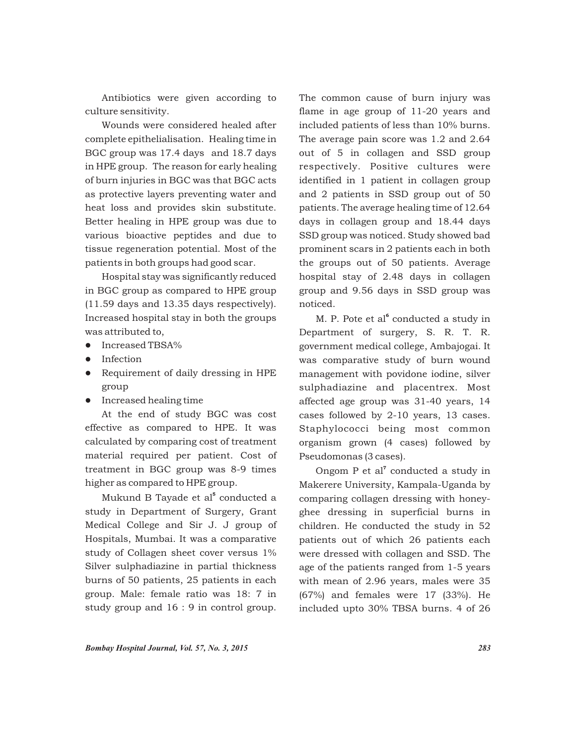Antibiotics were given according to culture sensitivity.

Wounds were considered healed after complete epithelialisation. Healing time in BGC group was 17.4 days and 18.7 days in HPE group. The reason for early healing of burn injuries in BGC was that BGC acts as protective layers preventing water and heat loss and provides skin substitute. Better healing in HPE group was due to various bioactive peptides and due to tissue regeneration potential. Most of the patients in both groups had good scar.

Hospital stay was significantly reduced in BGC group as compared to HPE group (11.59 days and 13.35 days respectively). Increased hospital stay in both the groups was attributed to,

- Increased TBSA%
- Infection
- Requirement of daily dressing in HPE group
- **•** Increased healing time

At the end of study BGC was cost effective as compared to HPE. It was calculated by comparing cost of treatment material required per patient. Cost of treatment in BGC group was 8-9 times higher as compared to HPE group.

Mukund B Tayade et al<sup>5</sup> conducted a study in Department of Surgery, Grant Medical College and Sir J. J group of Hospitals, Mumbai. It was a comparative study of Collagen sheet cover versus 1% Silver sulphadiazine in partial thickness burns of 50 patients, 25 patients in each group. Male: female ratio was 18: 7 in study group and 16 : 9 in control group.

The common cause of burn injury was flame in age group of 11-20 years and included patients of less than 10% burns. The average pain score was 1.2 and 2.64 out of 5 in collagen and SSD group respectively. Positive cultures were identified in 1 patient in collagen group and 2 patients in SSD group out of 50 patients. The average healing time of 12.64 days in collagen group and 18.44 days SSD group was noticed. Study showed bad prominent scars in 2 patients each in both the groups out of 50 patients. Average hospital stay of 2.48 days in collagen group and 9.56 days in SSD group was noticed.

M. P. Pote et al<sup>6</sup> conducted a study in Department of surgery, S. R. T. R. government medical college, Ambajogai. It was comparative study of burn wound management with povidone iodine, silver sulphadiazine and placentrex. Most affected age group was 31-40 years, 14 cases followed by 2-10 years, 13 cases. Staphylococci being most common organism grown (4 cases) followed by Pseudomonas (3 cases).

Ongom  $P$  et al<sup>7</sup> conducted a study in Makerere University, Kampala-Uganda by comparing collagen dressing with honeyghee dressing in superficial burns in children. He conducted the study in 52 patients out of which 26 patients each were dressed with collagen and SSD. The age of the patients ranged from 1-5 years with mean of 2.96 years, males were 35 (67%) and females were 17 (33%). He included upto 30% TBSA burns. 4 of 26